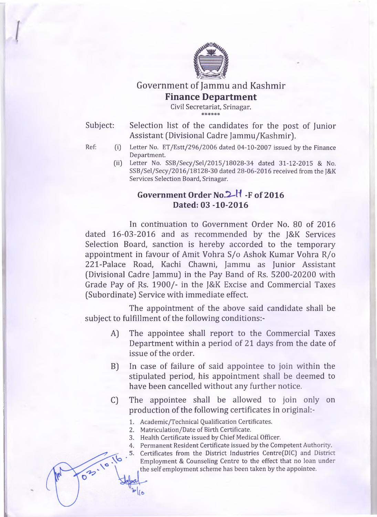

## Government of Jammu and Kashmir **Finance Department**

**Civil Secretariat, Srinagar.** \*\*\*\*\*\*

Subject: Selection list of the candidates for the post of Junior Assistant (Divisional Cadre Jammu/Kashmir).

03.10

- Ref: (i) Letter No. ET/Estt/296/2006 dated 04-10-2007 issued by the Finance **Department.**
	- **(ii] Letter No. SSB/Secy/Sel/2015/18028-34 dated 31-12-2015 & No. SSB/Sel/Secy/2016/18128-30 dated 28-06-2016 received from the J&K Services Selection Board, Srinagar.**

## Government Order No. 2<sup>1</sup> -F of 2016 **Dated: 03 -10-2016**

In continuation to Government Order No. 80 of 2016 dated 16-03-2016 and as recommended by the J&K Services Selection Board, sanction is hereby accorded to the temporary appointment in favour of Amit Vohra S/o Ashok Kumar Vohra R/o 221-Palace Road, Kachi Chawni, Jammu as Junior Assistant (Divisional Cadre Jammu) in the Pay Band of Rs. 5200-20200 with Grade Pay of Rs. 1900/- in the J&K Excise and Commercial Taxes (Subordinate) Service with immediate effect.

The appointment of the above said candidate shall be subject to fulfillment of the following conditions:-

- A) The appointee shall report to the Commercial Taxes Department within a period of 21 days from the date of issue of the order.
- B) In case of failure of said appointee to join within the stipulated period, his appointment shall be deemed to have been cancelled without any further notice.
- C) The appointee shall be allowed to join only on production of the following certificates in original:-
	- **1. Academic/Technical Qualification Certificates.**
	- **2. Matriculation/Date of Birth Certificate.**
	- **3. Health Certificate issued by Chief Medical Officer.**
	- **4. Permanent Resident Certificate issued by the Competent Authority.**
	- **Certificates from the District Industries Centre(DIC) and District** 5. **Employment & Counseling Centre to the effect that no loan under the self employment scheme has been taken by the appointee.**